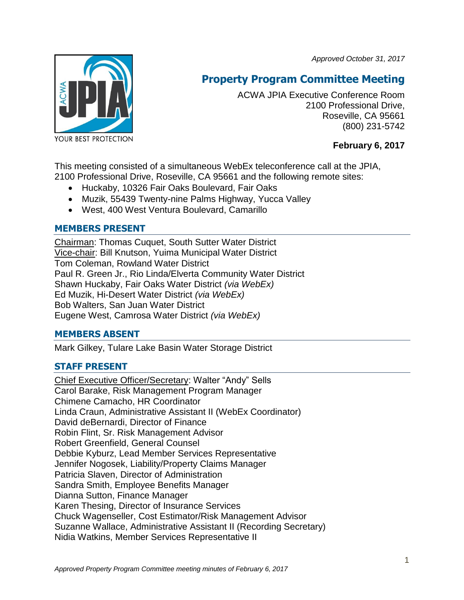*Approved October 31, 2017*



# **Property Program Committee Meeting**

ACWA JPIA Executive Conference Room 2100 Professional Drive, Roseville, CA 95661 (800) 231-5742

# **February 6, 2017**

This meeting consisted of a simultaneous WebEx teleconference call at the JPIA, 2100 Professional Drive, Roseville, CA 95661 and the following remote sites:

- Huckaby, 10326 Fair Oaks Boulevard, Fair Oaks
- Muzik, 55439 Twenty-nine Palms Highway, Yucca Valley
- West, 400 West Ventura Boulevard, Camarillo

# **MEMBERS PRESENT**

Chairman: Thomas Cuquet, South Sutter Water District Vice-chair: Bill Knutson, Yuima Municipal Water District Tom Coleman, Rowland Water District Paul R. Green Jr., Rio Linda/Elverta Community Water District Shawn Huckaby, Fair Oaks Water District *(via WebEx)* Ed Muzik, Hi-Desert Water District *(via WebEx)* Bob Walters, San Juan Water District Eugene West, Camrosa Water District *(via WebEx)*

# **MEMBERS ABSENT**

Mark Gilkey, Tulare Lake Basin Water Storage District

# **STAFF PRESENT**

Chief Executive Officer/Secretary: Walter "Andy" Sells Carol Barake, Risk Management Program Manager Chimene Camacho, HR Coordinator Linda Craun, Administrative Assistant II (WebEx Coordinator) David deBernardi, Director of Finance Robin Flint, Sr. Risk Management Advisor Robert Greenfield, General Counsel Debbie Kyburz, Lead Member Services Representative Jennifer Nogosek, Liability/Property Claims Manager Patricia Slaven, Director of Administration Sandra Smith, Employee Benefits Manager Dianna Sutton, Finance Manager Karen Thesing, Director of Insurance Services Chuck Wagenseller, Cost Estimator/Risk Management Advisor Suzanne Wallace, Administrative Assistant II (Recording Secretary) Nidia Watkins, Member Services Representative II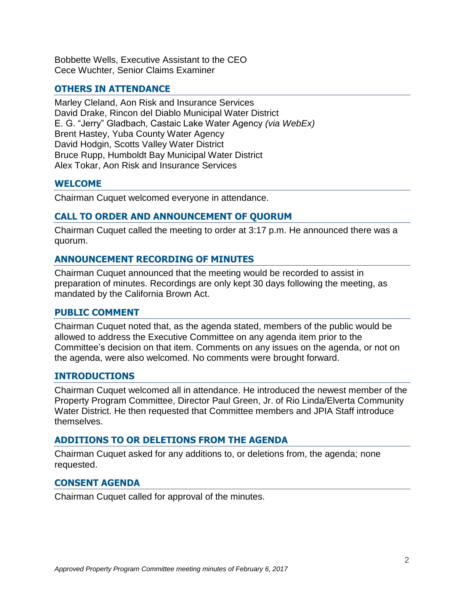Bobbette Wells, Executive Assistant to the CEO Cece Wuchter, Senior Claims Examiner

# **OTHERS IN ATTENDANCE**

Marley Cleland, Aon Risk and Insurance Services David Drake, Rincon del Diablo Municipal Water District E. G. "Jerry" Gladbach, Castaic Lake Water Agency *(via WebEx)* Brent Hastey, Yuba County Water Agency David Hodgin, Scotts Valley Water District Bruce Rupp, Humboldt Bay Municipal Water District Alex Tokar, Aon Risk and Insurance Services

#### **WELCOME**

Chairman Cuquet welcomed everyone in attendance.

# **CALL TO ORDER AND ANNOUNCEMENT OF QUORUM**

Chairman Cuquet called the meeting to order at 3:17 p.m. He announced there was a quorum.

# **ANNOUNCEMENT RECORDING OF MINUTES**

Chairman Cuquet announced that the meeting would be recorded to assist in preparation of minutes. Recordings are only kept 30 days following the meeting, as mandated by the California Brown Act.

#### **PUBLIC COMMENT**

Chairman Cuquet noted that, as the agenda stated, members of the public would be allowed to address the Executive Committee on any agenda item prior to the Committee's decision on that item. Comments on any issues on the agenda, or not on the agenda, were also welcomed. No comments were brought forward.

#### **INTRODUCTIONS**

Chairman Cuquet welcomed all in attendance. He introduced the newest member of the Property Program Committee, Director Paul Green, Jr. of Rio Linda/Elverta Community Water District. He then requested that Committee members and JPIA Staff introduce themselves.

#### **ADDITIONS TO OR DELETIONS FROM THE AGENDA**

Chairman Cuquet asked for any additions to, or deletions from, the agenda; none requested.

#### **CONSENT AGENDA**

Chairman Cuquet called for approval of the minutes.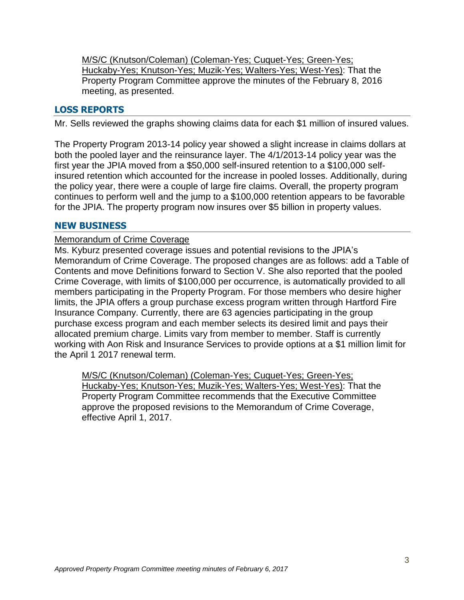M/S/C (Knutson/Coleman) (Coleman-Yes; Cuquet-Yes; Green-Yes; Huckaby-Yes; Knutson-Yes; Muzik-Yes; Walters-Yes; West-Yes): That the Property Program Committee approve the minutes of the February 8, 2016 meeting, as presented.

# **LOSS REPORTS**

Mr. Sells reviewed the graphs showing claims data for each \$1 million of insured values.

The Property Program 2013-14 policy year showed a slight increase in claims dollars at both the pooled layer and the reinsurance layer. The 4/1/2013-14 policy year was the first year the JPIA moved from a \$50,000 self-insured retention to a \$100,000 selfinsured retention which accounted for the increase in pooled losses. Additionally, during the policy year, there were a couple of large fire claims. Overall, the property program continues to perform well and the jump to a \$100,000 retention appears to be favorable for the JPIA. The property program now insures over \$5 billion in property values.

#### **NEW BUSINESS**

#### Memorandum of Crime Coverage

Ms. Kyburz presented coverage issues and potential revisions to the JPIA's Memorandum of Crime Coverage. The proposed changes are as follows: add a Table of Contents and move Definitions forward to Section V. She also reported that the pooled Crime Coverage, with limits of \$100,000 per occurrence, is automatically provided to all members participating in the Property Program. For those members who desire higher limits, the JPIA offers a group purchase excess program written through Hartford Fire Insurance Company. Currently, there are 63 agencies participating in the group purchase excess program and each member selects its desired limit and pays their allocated premium charge. Limits vary from member to member. Staff is currently working with Aon Risk and Insurance Services to provide options at a \$1 million limit for the April 1 2017 renewal term.

M/S/C (Knutson/Coleman) (Coleman-Yes; Cuquet-Yes; Green-Yes; Huckaby-Yes; Knutson-Yes; Muzik-Yes; Walters-Yes; West-Yes): That the Property Program Committee recommends that the Executive Committee approve the proposed revisions to the Memorandum of Crime Coverage, effective April 1, 2017.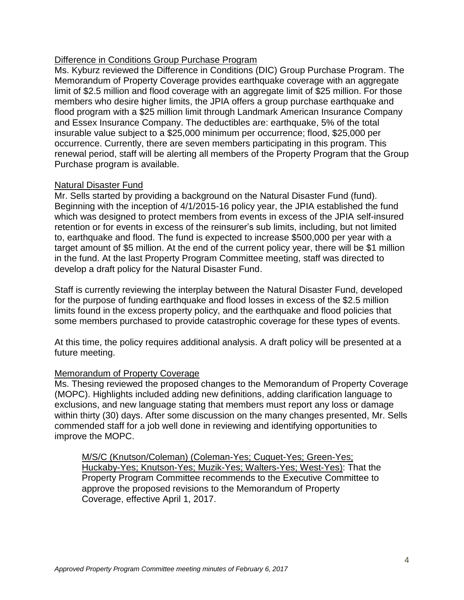# Difference in Conditions Group Purchase Program

Ms. Kyburz reviewed the Difference in Conditions (DIC) Group Purchase Program. The Memorandum of Property Coverage provides earthquake coverage with an aggregate limit of \$2.5 million and flood coverage with an aggregate limit of \$25 million. For those members who desire higher limits, the JPIA offers a group purchase earthquake and flood program with a \$25 million limit through Landmark American Insurance Company and Essex Insurance Company. The deductibles are: earthquake, 5% of the total insurable value subject to a \$25,000 minimum per occurrence; flood, \$25,000 per occurrence. Currently, there are seven members participating in this program. This renewal period, staff will be alerting all members of the Property Program that the Group Purchase program is available.

#### Natural Disaster Fund

Mr. Sells started by providing a background on the Natural Disaster Fund (fund). Beginning with the inception of 4/1/2015-16 policy year, the JPIA established the fund which was designed to protect members from events in excess of the JPIA self-insured retention or for events in excess of the reinsurer's sub limits, including, but not limited to, earthquake and flood. The fund is expected to increase \$500,000 per year with a target amount of \$5 million. At the end of the current policy year, there will be \$1 million in the fund. At the last Property Program Committee meeting, staff was directed to develop a draft policy for the Natural Disaster Fund.

Staff is currently reviewing the interplay between the Natural Disaster Fund, developed for the purpose of funding earthquake and flood losses in excess of the \$2.5 million limits found in the excess property policy, and the earthquake and flood policies that some members purchased to provide catastrophic coverage for these types of events.

At this time, the policy requires additional analysis. A draft policy will be presented at a future meeting.

#### Memorandum of Property Coverage

Ms. Thesing reviewed the proposed changes to the Memorandum of Property Coverage (MOPC). Highlights included adding new definitions, adding clarification language to exclusions, and new language stating that members must report any loss or damage within thirty (30) days. After some discussion on the many changes presented, Mr. Sells commended staff for a job well done in reviewing and identifying opportunities to improve the MOPC.

M/S/C (Knutson/Coleman) (Coleman-Yes; Cuquet-Yes; Green-Yes; Huckaby-Yes; Knutson-Yes; Muzik-Yes; Walters-Yes; West-Yes): That the Property Program Committee recommends to the Executive Committee to approve the proposed revisions to the Memorandum of Property Coverage, effective April 1, 2017.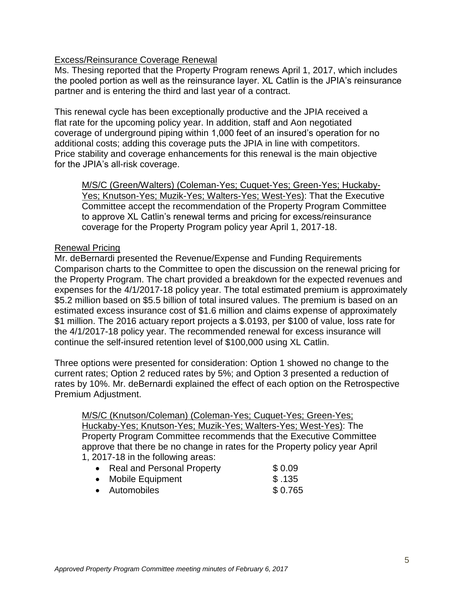#### Excess/Reinsurance Coverage Renewal

Ms. Thesing reported that the Property Program renews April 1, 2017, which includes the pooled portion as well as the reinsurance layer. XL Catlin is the JPIA's reinsurance partner and is entering the third and last year of a contract.

This renewal cycle has been exceptionally productive and the JPIA received a flat rate for the upcoming policy year. In addition, staff and Aon negotiated coverage of underground piping within 1,000 feet of an insured's operation for no additional costs; adding this coverage puts the JPIA in line with competitors. Price stability and coverage enhancements for this renewal is the main objective for the JPIA's all-risk coverage.

M/S/C (Green/Walters) (Coleman-Yes; Cuquet-Yes; Green-Yes; Huckaby-Yes; Knutson-Yes; Muzik-Yes; Walters-Yes; West-Yes): That the Executive Committee accept the recommendation of the Property Program Committee to approve XL Catlin's renewal terms and pricing for excess/reinsurance coverage for the Property Program policy year April 1, 2017-18.

#### Renewal Pricing

Mr. deBernardi presented the Revenue/Expense and Funding Requirements Comparison charts to the Committee to open the discussion on the renewal pricing for the Property Program. The chart provided a breakdown for the expected revenues and expenses for the 4/1/2017-18 policy year. The total estimated premium is approximately \$5.2 million based on \$5.5 billion of total insured values. The premium is based on an estimated excess insurance cost of \$1.6 million and claims expense of approximately \$1 million. The 2016 actuary report projects a \$.0193, per \$100 of value, loss rate for the 4/1/2017-18 policy year. The recommended renewal for excess insurance will continue the self-insured retention level of \$100,000 using XL Catlin.

Three options were presented for consideration: Option 1 showed no change to the current rates; Option 2 reduced rates by 5%; and Option 3 presented a reduction of rates by 10%. Mr. deBernardi explained the effect of each option on the Retrospective Premium Adjustment.

M/S/C (Knutson/Coleman) (Coleman-Yes; Cuquet-Yes; Green-Yes; Huckaby-Yes; Knutson-Yes; Muzik-Yes; Walters-Yes; West-Yes): The Property Program Committee recommends that the Executive Committee approve that there be no change in rates for the Property policy year April 1, 2017-18 in the following areas:

| • Real and Personal Property | \$0.09  |
|------------------------------|---------|
| • Mobile Equipment           | \$.135  |
| • Automobiles                | \$0.765 |